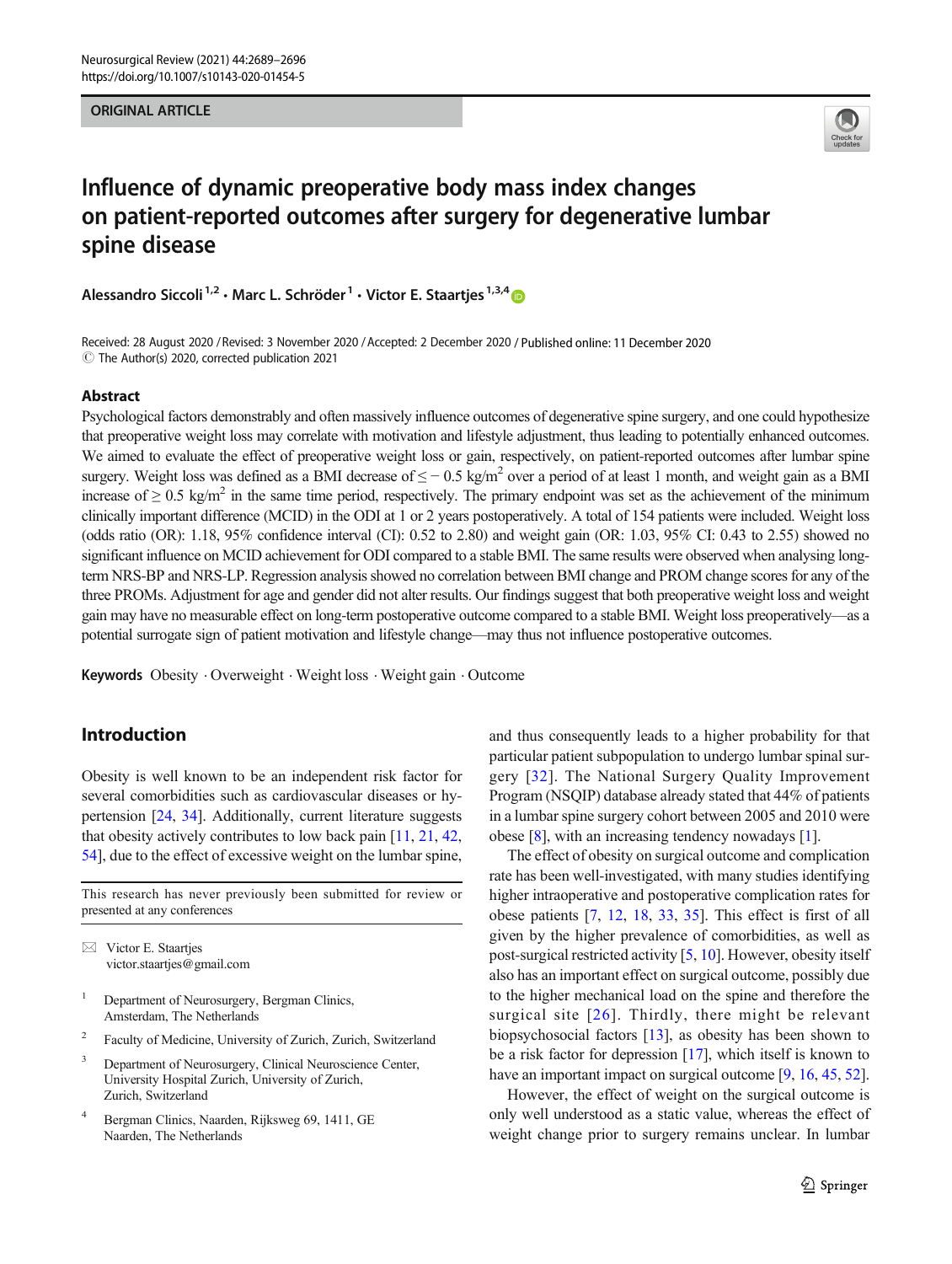#### ORIGINAL ARTICLE



# Influence of dynamic preoperative body mass index changes on patient-reported outcomes after surgery for degenerative lumbar spine disease

Alessandro Siccoli<sup>1,2</sup> · Marc L. Schröder<sup>1</sup> · Victor E. Staartjes<sup>1,3,4</sup>

Received: 28 August 2020 / Revised: 3 November 2020 /Accepted: 2 December 2020 / Published online: 11 December 2020  $\odot$  The Author(s) 2020, corrected publication 2021

#### Abstract

Psychological factors demonstrably and often massively influence outcomes of degenerative spine surgery, and one could hypothesize that preoperative weight loss may correlate with motivation and lifestyle adjustment, thus leading to potentially enhanced outcomes. We aimed to evaluate the effect of preoperative weight loss or gain, respectively, on patient-reported outcomes after lumbar spine surgery. Weight loss was defined as a BMI decrease of  $\leq$  - 0.5 kg/m<sup>2</sup> over a period of at least 1 month, and weight gain as a BMI increase of  $\geq 0.5$  kg/m<sup>2</sup> in the same time period, respectively. The primary endpoint was set as the achievement of the minimum clinically important difference (MCID) in the ODI at 1 or 2 years postoperatively. A total of 154 patients were included. Weight loss (odds ratio (OR): 1.18, 95% confidence interval (CI): 0.52 to 2.80) and weight gain (OR: 1.03, 95% CI: 0.43 to 2.55) showed no significant influence on MCID achievement for ODI compared to a stable BMI. The same results were observed when analysing longterm NRS-BP and NRS-LP. Regression analysis showed no correlation between BMI change and PROM change scores for any of the three PROMs. Adjustment for age and gender did not alter results. Our findings suggest that both preoperative weight loss and weight gain may have no measurable effect on long-term postoperative outcome compared to a stable BMI. Weight loss preoperatively—as a potential surrogate sign of patient motivation and lifestyle change—may thus not influence postoperative outcomes.

Keywords Obesity . Overweight . Weight loss . Weight gain . Outcome

## Introduction

Obesity is well known to be an independent risk factor for several comorbidities such as cardiovascular diseases or hypertension [\[24,](#page-6-0) [34\]](#page-6-0). Additionally, current literature suggests that obesity actively contributes to low back pain [\[11](#page-5-0), [21,](#page-6-0) [42,](#page-6-0) [54\]](#page-7-0), due to the effect of excessive weight on the lumbar spine,

This research has never previously been submitted for review or presented at any conferences

 $\boxtimes$  Victor E. Staartjes [victor.staartjes@gmail.com](mailto:victor.staartjes@gmail.com)

- <sup>1</sup> Department of Neurosurgery, Bergman Clinics, Amsterdam, The Netherlands
- <sup>2</sup> Faculty of Medicine, University of Zurich, Zurich, Switzerland
- <sup>3</sup> Department of Neurosurgery, Clinical Neuroscience Center, University Hospital Zurich, University of Zurich, Zurich, Switzerland
- <sup>4</sup> Bergman Clinics, Naarden, Rijksweg 69, 1411, GE Naarden, The Netherlands

and thus consequently leads to a higher probability for that particular patient subpopulation to undergo lumbar spinal surgery [[32](#page-6-0)]. The National Surgery Quality Improvement Program (NSQIP) database already stated that 44% of patients in a lumbar spine surgery cohort between 2005 and 2010 were obese [\[8\]](#page-5-0), with an increasing tendency nowadays [\[1](#page-5-0)].

The effect of obesity on surgical outcome and complication rate has been well-investigated, with many studies identifying higher intraoperative and postoperative complication rates for obese patients [\[7,](#page-5-0) [12,](#page-5-0) [18,](#page-6-0) [33,](#page-6-0) [35\]](#page-6-0). This effect is first of all given by the higher prevalence of comorbidities, as well as post-surgical restricted activity [\[5,](#page-5-0) [10\]](#page-5-0). However, obesity itself also has an important effect on surgical outcome, possibly due to the higher mechanical load on the spine and therefore the surgical site [[26](#page-6-0)]. Thirdly, there might be relevant biopsychosocial factors [[13\]](#page-5-0), as obesity has been shown to be a risk factor for depression [\[17](#page-5-0)], which itself is known to have an important impact on surgical outcome [\[9](#page-5-0), [16,](#page-5-0) [45](#page-6-0), [52\]](#page-7-0).

However, the effect of weight on the surgical outcome is only well understood as a static value, whereas the effect of weight change prior to surgery remains unclear. In lumbar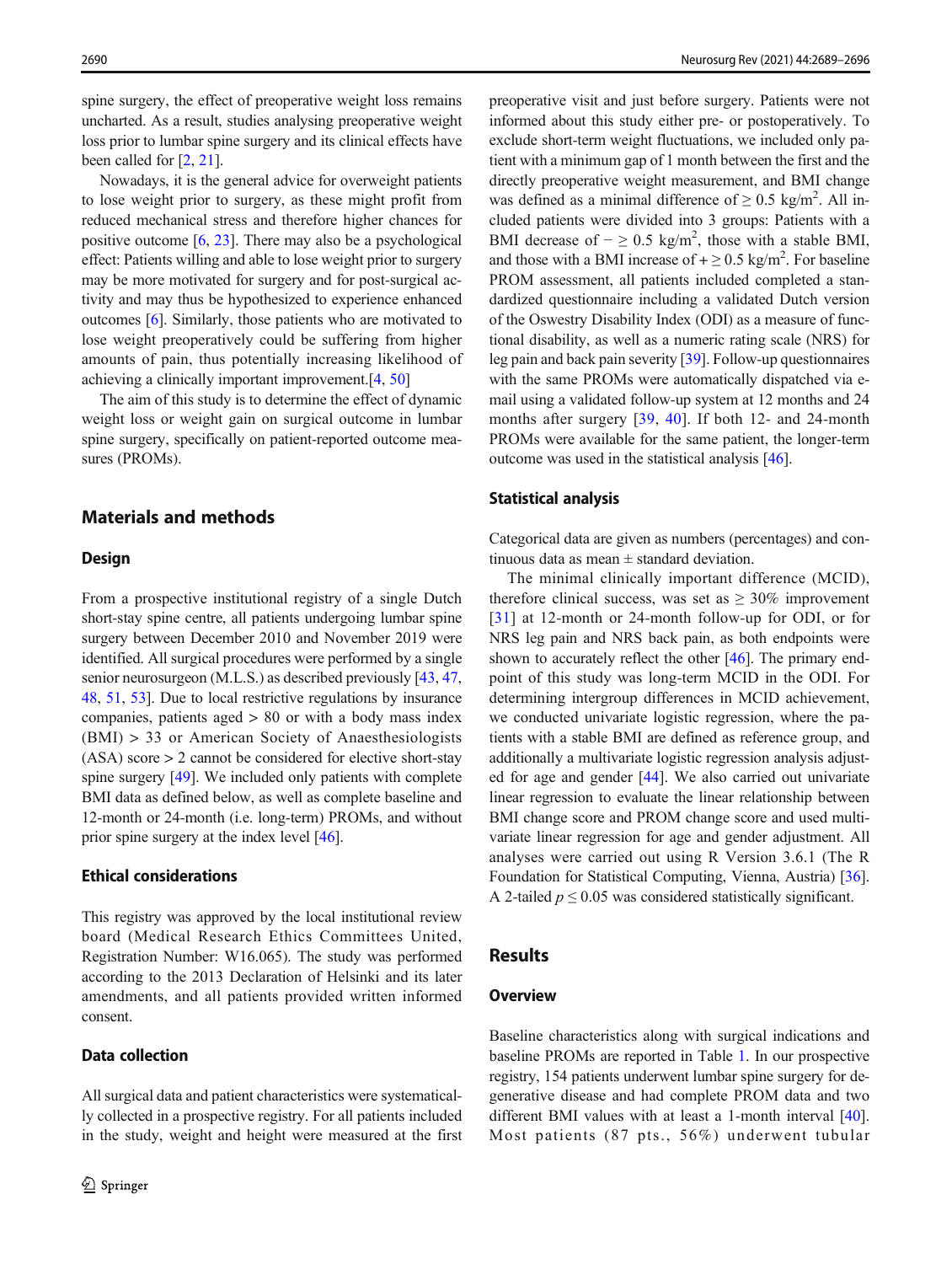spine surgery, the effect of preoperative weight loss remains uncharted. As a result, studies analysing preoperative weight loss prior to lumbar spine surgery and its clinical effects have been called for [[2](#page-5-0), [21](#page-6-0)].

Nowadays, it is the general advice for overweight patients to lose weight prior to surgery, as these might profit from reduced mechanical stress and therefore higher chances for positive outcome [\[6,](#page-5-0) [23\]](#page-6-0). There may also be a psychological effect: Patients willing and able to lose weight prior to surgery may be more motivated for surgery and for post-surgical activity and may thus be hypothesized to experience enhanced outcomes [\[6](#page-5-0)]. Similarly, those patients who are motivated to lose weight preoperatively could be suffering from higher amounts of pain, thus potentially increasing likelihood of achieving a clinically important improvement.[[4,](#page-5-0) [50\]](#page-7-0)

The aim of this study is to determine the effect of dynamic weight loss or weight gain on surgical outcome in lumbar spine surgery, specifically on patient-reported outcome measures (PROMs).

## Materials and methods

#### **Design**

From a prospective institutional registry of a single Dutch short-stay spine centre, all patients undergoing lumbar spine surgery between December 2010 and November 2019 were identified. All surgical procedures were performed by a single senior neurosurgeon (M.L.S.) as described previously [[43](#page-6-0), [47,](#page-6-0) [48,](#page-7-0) [51](#page-7-0), [53](#page-7-0)]. Due to local restrictive regulations by insurance companies, patients aged > 80 or with a body mass index (BMI) > 33 or American Society of Anaesthesiologists (ASA) score > 2 cannot be considered for elective short-stay spine surgery [\[49](#page-7-0)]. We included only patients with complete BMI data as defined below, as well as complete baseline and 12-month or 24-month (i.e. long-term) PROMs, and without prior spine surgery at the index level [[46\]](#page-6-0).

#### Ethical considerations

This registry was approved by the local institutional review board (Medical Research Ethics Committees United, Registration Number: W16.065). The study was performed according to the 2013 Declaration of Helsinki and its later amendments, and all patients provided written informed consent.

## Data collection

All surgical data and patient characteristics were systematically collected in a prospective registry. For all patients included in the study, weight and height were measured at the first preoperative visit and just before surgery. Patients were not informed about this study either pre- or postoperatively. To exclude short-term weight fluctuations, we included only patient with a minimum gap of 1 month between the first and the directly preoperative weight measurement, and BMI change was defined as a minimal difference of  $\geq 0.5$  kg/m<sup>2</sup>. All included patients were divided into 3 groups: Patients with a BMI decrease of  $- \geq 0.5$  kg/m<sup>2</sup>, those with a stable BMI, and those with a BMI increase of  $+\geq 0.5$  kg/m<sup>2</sup>. For baseline PROM assessment, all patients included completed a standardized questionnaire including a validated Dutch version of the Oswestry Disability Index (ODI) as a measure of functional disability, as well as a numeric rating scale (NRS) for leg pain and back pain severity [[39\]](#page-6-0). Follow-up questionnaires with the same PROMs were automatically dispatched via email using a validated follow-up system at 12 months and 24 months after surgery [[39,](#page-6-0) [40\]](#page-6-0). If both 12- and 24-month PROMs were available for the same patient, the longer-term outcome was used in the statistical analysis [[46](#page-6-0)].

#### Statistical analysis

Categorical data are given as numbers (percentages) and continuous data as mean ± standard deviation.

The minimal clinically important difference (MCID), therefore clinical success, was set as  $\geq 30\%$  improvement [\[31\]](#page-6-0) at 12-month or 24-month follow-up for ODI, or for NRS leg pain and NRS back pain, as both endpoints were shown to accurately reflect the other [[46](#page-6-0)]. The primary endpoint of this study was long-term MCID in the ODI. For determining intergroup differences in MCID achievement, we conducted univariate logistic regression, where the patients with a stable BMI are defined as reference group, and additionally a multivariate logistic regression analysis adjusted for age and gender [[44\]](#page-6-0). We also carried out univariate linear regression to evaluate the linear relationship between BMI change score and PROM change score and used multivariate linear regression for age and gender adjustment. All analyses were carried out using R Version 3.6.1 (The R Foundation for Statistical Computing, Vienna, Austria) [[36\]](#page-6-0). A 2-tailed  $p \le 0.05$  was considered statistically significant.

#### Results

### **Overview**

Baseline characteristics along with surgical indications and baseline PROMs are reported in Table [1.](#page-2-0) In our prospective registry, 154 patients underwent lumbar spine surgery for degenerative disease and had complete PROM data and two different BMI values with at least a 1-month interval [[40\]](#page-6-0). Most patients (87 pts., 56%) underwent tubular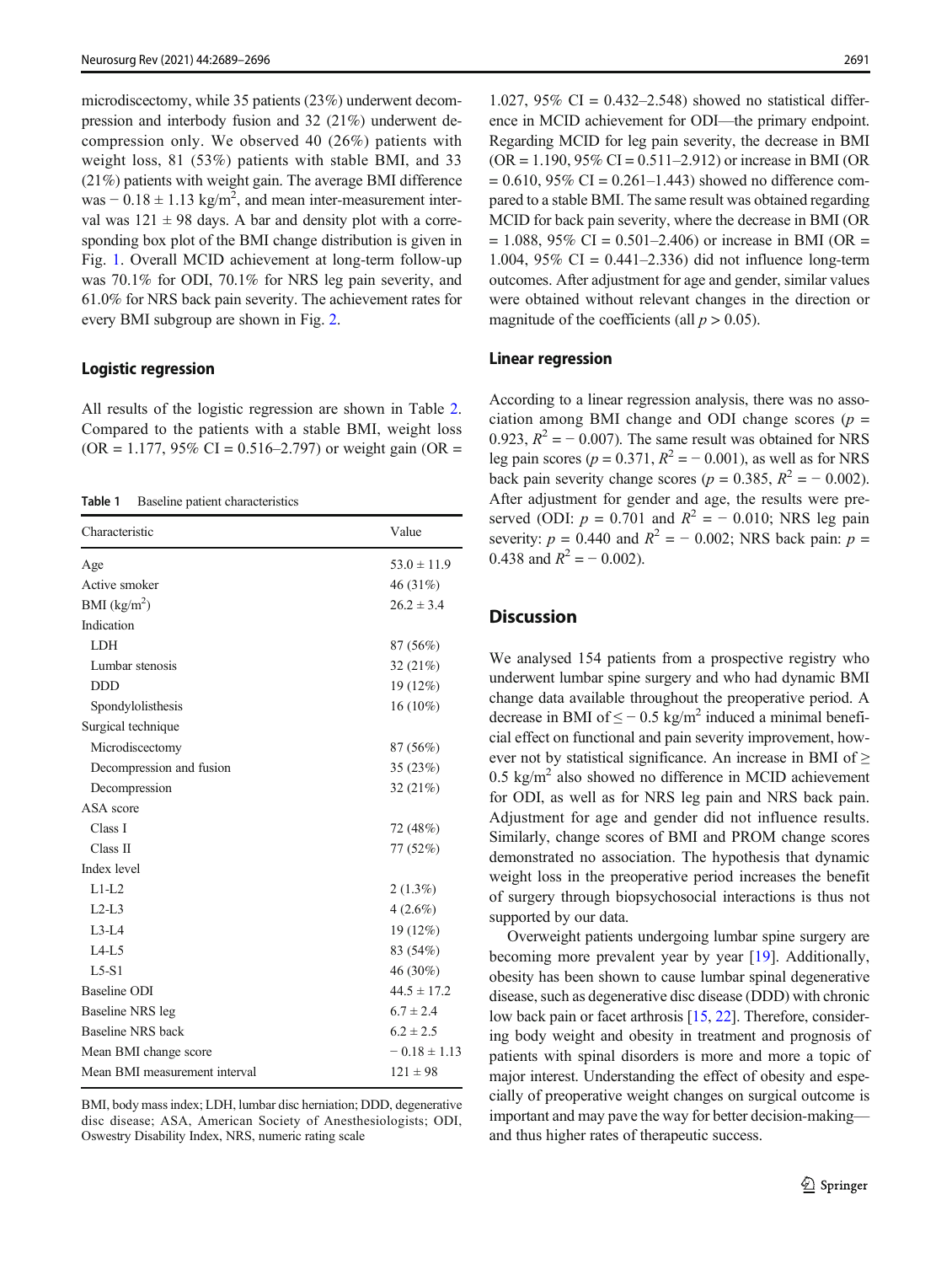<span id="page-2-0"></span>microdiscectomy, while 35 patients (23%) underwent decompression and interbody fusion and 32 (21%) underwent decompression only. We observed 40 (26%) patients with weight loss, 81 (53%) patients with stable BMI, and 33 (21%) patients with weight gain. The average BMI difference was  $-0.18 \pm 1.13$  kg/m<sup>2</sup>, and mean inter-measurement interval was  $121 \pm 98$  days. A bar and density plot with a corresponding box plot of the BMI change distribution is given in Fig. [1](#page-3-0). Overall MCID achievement at long-term follow-up was 70.1% for ODI, 70.1% for NRS leg pain severity, and 61.0% for NRS back pain severity. The achievement rates for every BMI subgroup are shown in Fig. [2.](#page-3-0)

#### Logistic regression

All results of the logistic regression are shown in Table [2.](#page-4-0) Compared to the patients with a stable BMI, weight loss  $(OR = 1.177, 95\% \text{ CI} = 0.516 - 2.797)$  or weight gain  $(OR = 1.177, 95\% \text{ CI} = 0.516 - 2.797)$ 

Table 1 Baseline patient characteristics

| Characteristic                | Value            |
|-------------------------------|------------------|
| Age                           | $53.0 \pm 11.9$  |
| Active smoker                 | 46 (31%)         |
| BMI (kg/m <sup>2</sup> )      | $26.2 \pm 3.4$   |
| Indication                    |                  |
| <b>LDH</b>                    | 87 (56%)         |
| Lumbar stenosis               | 32(21%)          |
| <b>DDD</b>                    | 19 (12%)         |
| Spondylolisthesis             | $16(10\%)$       |
| Surgical technique            |                  |
| Microdiscectomy               | 87 (56%)         |
| Decompression and fusion      | 35(23%)          |
| Decompression                 | 32(21%)          |
| ASA score                     |                  |
| Class I                       | 72 (48%)         |
| Class II                      | 77 (52%)         |
| Index level                   |                  |
| $L1-L2$                       | $2(1.3\%)$       |
| $L2-L3$                       | $4(2.6\%)$       |
| $L3-L4$                       | 19 (12%)         |
| $L4-L5$                       | 83 (54%)         |
| $L5-S1$                       | 46 (30%)         |
| <b>Baseline ODI</b>           | $44.5 \pm 17.2$  |
| Baseline NRS leg              | $6.7 \pm 2.4$    |
| Baseline NRS back             | $6.2 \pm 2.5$    |
| Mean BMI change score         | $-0.18 \pm 1.13$ |
| Mean BMI measurement interval | $121 \pm 98$     |
|                               |                  |

BMI, body mass index; LDH, lumbar disc herniation; DDD, degenerative disc disease; ASA, American Society of Anesthesiologists; ODI, Oswestry Disability Index, NRS, numeric rating scale

1.027, 95% CI =  $0.432-2.548$ ) showed no statistical difference in MCID achievement for ODI—the primary endpoint. Regarding MCID for leg pain severity, the decrease in BMI  $(OR = 1.190, 95\% \text{ CI} = 0.511 - 2.912)$  or increase in BMI (OR  $= 0.610, 95\% \text{ CI} = 0.261 - 1.443$ ) showed no difference compared to a stable BMI. The same result was obtained regarding MCID for back pain severity, where the decrease in BMI (OR  $= 1.088$ , 95% CI = 0.501–2.406) or increase in BMI (OR = 1.004, 95% CI = 0.441–2.336) did not influence long-term outcomes. After adjustment for age and gender, similar values were obtained without relevant changes in the direction or magnitude of the coefficients (all  $p > 0.05$ ).

#### Linear regression

According to a linear regression analysis, there was no association among BMI change and ODI change scores ( $p =$ 0.923,  $R^2 = -0.007$ ). The same result was obtained for NRS leg pain scores ( $p = 0.371$ ,  $R^2 = -0.001$ ), as well as for NRS back pain severity change scores ( $p = 0.385$ ,  $R^2 = -0.002$ ). After adjustment for gender and age, the results were preserved (ODI:  $p = 0.701$  and  $R^2 = -0.010$ ; NRS leg pain severity:  $p = 0.440$  and  $R^2 = -0.002$ ; NRS back pain:  $p =$ 0.438 and  $R^2 = -0.002$ ).

## **Discussion**

We analysed 154 patients from a prospective registry who underwent lumbar spine surgery and who had dynamic BMI change data available throughout the preoperative period. A decrease in BMI of  $\leq$  - 0.5 kg/m<sup>2</sup> induced a minimal beneficial effect on functional and pain severity improvement, however not by statistical significance. An increase in BMI of  $\geq$  $0.5 \text{ kg/m}^2$  also showed no difference in MCID achievement for ODI, as well as for NRS leg pain and NRS back pain. Adjustment for age and gender did not influence results. Similarly, change scores of BMI and PROM change scores demonstrated no association. The hypothesis that dynamic weight loss in the preoperative period increases the benefit of surgery through biopsychosocial interactions is thus not supported by our data.

Overweight patients undergoing lumbar spine surgery are becoming more prevalent year by year [\[19](#page-6-0)]. Additionally, obesity has been shown to cause lumbar spinal degenerative disease, such as degenerative disc disease (DDD) with chronic low back pain or facet arthrosis [\[15,](#page-5-0) [22\]](#page-6-0). Therefore, considering body weight and obesity in treatment and prognosis of patients with spinal disorders is more and more a topic of major interest. Understanding the effect of obesity and especially of preoperative weight changes on surgical outcome is important and may pave the way for better decision-making and thus higher rates of therapeutic success.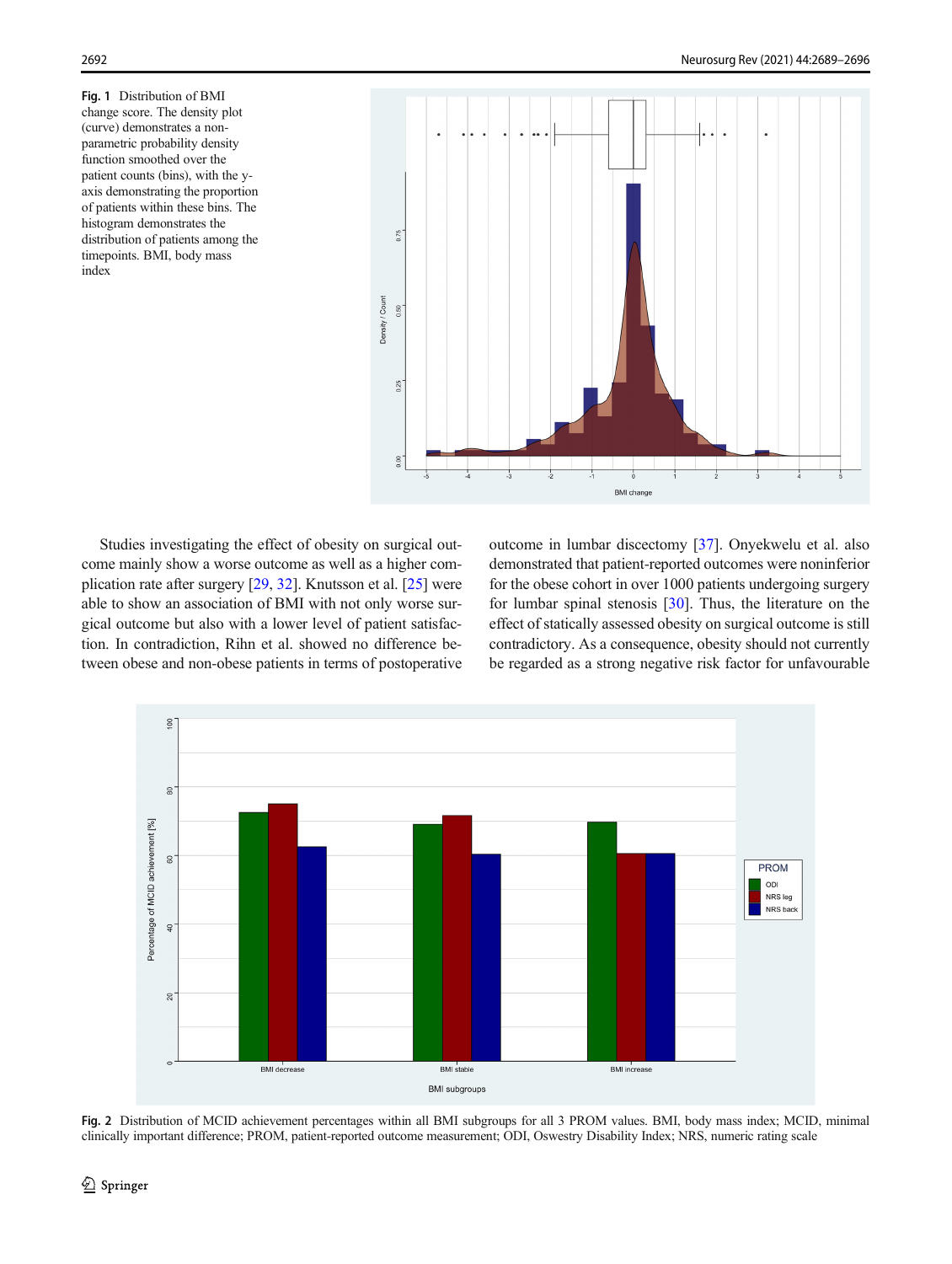<span id="page-3-0"></span>Fig. 1 Distribution of BMI change score. The density plot (curve) demonstrates a nonparametric probability density function smoothed over the patient counts (bins), with the yaxis demonstrating the proportion of patients within these bins. The histogram demonstrates the distribution of patients among the timepoints. BMI, body mass index



Studies investigating the effect of obesity on surgical outcome mainly show a worse outcome as well as a higher complication rate after surgery [[29](#page-6-0), [32](#page-6-0)]. Knutsson et al. [[25\]](#page-6-0) were able to show an association of BMI with not only worse surgical outcome but also with a lower level of patient satisfaction. In contradiction, Rihn et al. showed no difference between obese and non-obese patients in terms of postoperative outcome in lumbar discectomy [\[37\]](#page-6-0). Onyekwelu et al. also demonstrated that patient-reported outcomes were noninferior for the obese cohort in over 1000 patients undergoing surgery for lumbar spinal stenosis [\[30](#page-6-0)]. Thus, the literature on the effect of statically assessed obesity on surgical outcome is still contradictory. As a consequence, obesity should not currently be regarded as a strong negative risk factor for unfavourable



Fig. 2 Distribution of MCID achievement percentages within all BMI subgroups for all 3 PROM values. BMI, body mass index; MCID, minimal clinically important difference; PROM, patient-reported outcome measurement; ODI, Oswestry Disability Index; NRS, numeric rating scale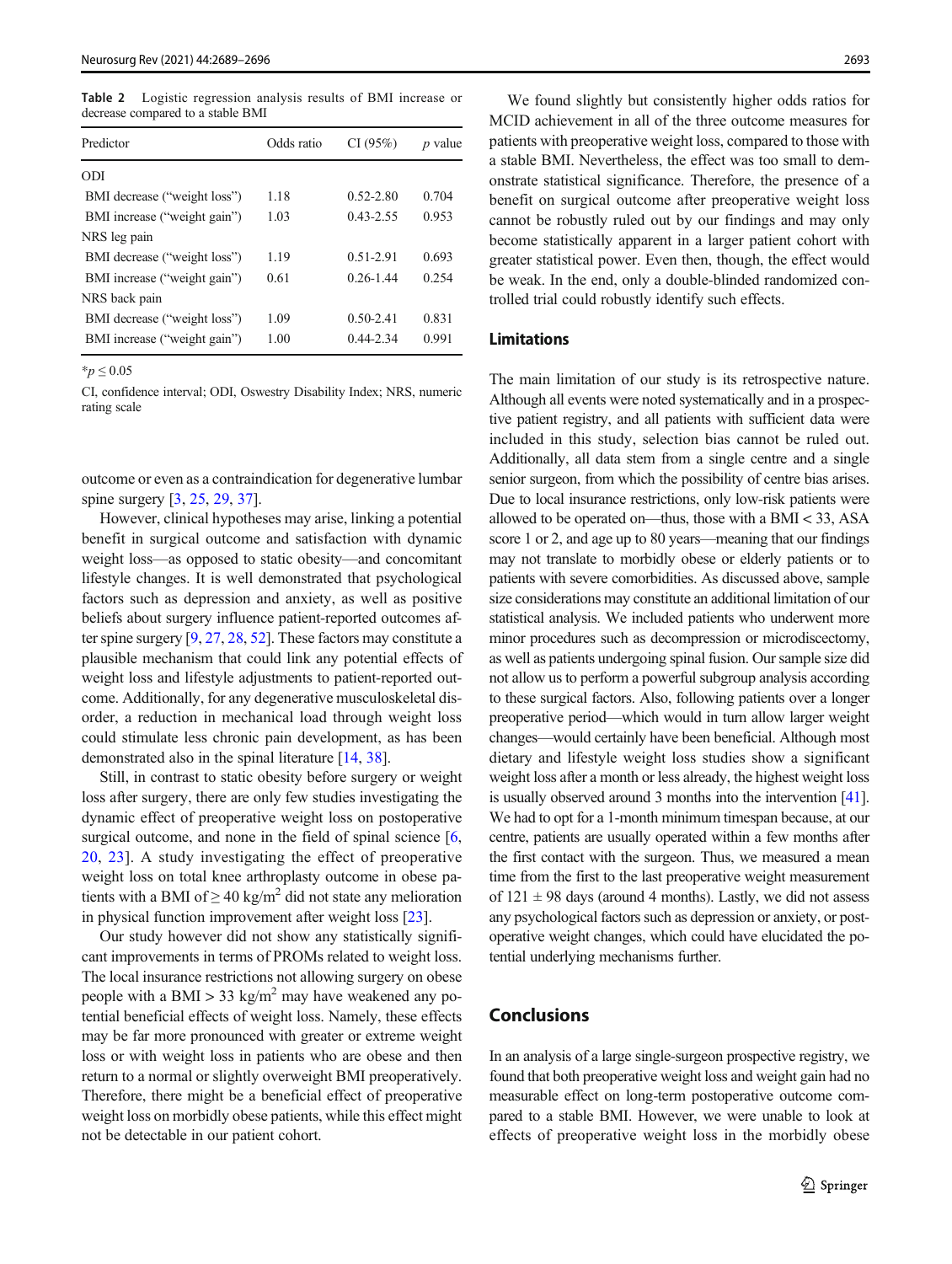<span id="page-4-0"></span>Table 2 Logistic regression analysis results of BMI increase or decrease compared to a stable BMI

| Predictor                    | Odds ratio | CI(95%)       | $\nu$ value |
|------------------------------|------------|---------------|-------------|
| ODI                          |            |               |             |
| BMI decrease ("weight loss") | 1.18       | $0.52 - 2.80$ | 0.704       |
| BMI increase ("weight gain") | 1.03       | $0.43 - 2.55$ | 0.953       |
| NRS leg pain                 |            |               |             |
| BMI decrease ("weight loss") | 1.19       | $0.51 - 2.91$ | 0.693       |
| BMI increase ("weight gain") | 0.61       | $0.26 - 1.44$ | 0.254       |
| NRS back pain                |            |               |             |
| BMI decrease ("weight loss") | 1.09       | $0.50 - 2.41$ | 0.831       |
| BMI increase ("weight gain") | 1.00       | $0.44 - 2.34$ | 0.991       |

\*p ≤ 0.05

CI, confidence interval; ODI, Oswestry Disability Index; NRS, numeric rating scale

outcome or even as a contraindication for degenerative lumbar spine surgery [[3,](#page-5-0) [25,](#page-6-0) [29](#page-6-0), [37](#page-6-0)].

However, clinical hypotheses may arise, linking a potential benefit in surgical outcome and satisfaction with dynamic weight loss—as opposed to static obesity—and concomitant lifestyle changes. It is well demonstrated that psychological factors such as depression and anxiety, as well as positive beliefs about surgery influence patient-reported outcomes after spine surgery [\[9](#page-5-0), [27](#page-6-0), [28](#page-6-0), [52](#page-7-0)]. These factors may constitute a plausible mechanism that could link any potential effects of weight loss and lifestyle adjustments to patient-reported outcome. Additionally, for any degenerative musculoskeletal disorder, a reduction in mechanical load through weight loss could stimulate less chronic pain development, as has been demonstrated also in the spinal literature [\[14](#page-5-0), [38](#page-6-0)].

Still, in contrast to static obesity before surgery or weight loss after surgery, there are only few studies investigating the dynamic effect of preoperative weight loss on postoperative surgical outcome, and none in the field of spinal science [[6,](#page-5-0) [20](#page-6-0), [23](#page-6-0)]. A study investigating the effect of preoperative weight loss on total knee arthroplasty outcome in obese patients with a BMI of  $\geq$  40 kg/m<sup>2</sup> did not state any melioration in physical function improvement after weight loss [\[23\]](#page-6-0).

Our study however did not show any statistically significant improvements in terms of PROMs related to weight loss. The local insurance restrictions not allowing surgery on obese people with a BMI > 33 kg/m<sup>2</sup> may have weakened any potential beneficial effects of weight loss. Namely, these effects may be far more pronounced with greater or extreme weight loss or with weight loss in patients who are obese and then return to a normal or slightly overweight BMI preoperatively. Therefore, there might be a beneficial effect of preoperative weight loss on morbidly obese patients, while this effect might not be detectable in our patient cohort.

We found slightly but consistently higher odds ratios for MCID achievement in all of the three outcome measures for patients with preoperative weight loss, compared to those with a stable BMI. Nevertheless, the effect was too small to demonstrate statistical significance. Therefore, the presence of a benefit on surgical outcome after preoperative weight loss cannot be robustly ruled out by our findings and may only become statistically apparent in a larger patient cohort with greater statistical power. Even then, though, the effect would be weak. In the end, only a double-blinded randomized controlled trial could robustly identify such effects.

#### Limitations

The main limitation of our study is its retrospective nature. Although all events were noted systematically and in a prospective patient registry, and all patients with sufficient data were included in this study, selection bias cannot be ruled out. Additionally, all data stem from a single centre and a single senior surgeon, from which the possibility of centre bias arises. Due to local insurance restrictions, only low-risk patients were allowed to be operated on—thus, those with a BMI < 33, ASA score 1 or 2, and age up to 80 years—meaning that our findings may not translate to morbidly obese or elderly patients or to patients with severe comorbidities. As discussed above, sample size considerations may constitute an additional limitation of our statistical analysis. We included patients who underwent more minor procedures such as decompression or microdiscectomy, as well as patients undergoing spinal fusion. Our sample size did not allow us to perform a powerful subgroup analysis according to these surgical factors. Also, following patients over a longer preoperative period—which would in turn allow larger weight changes—would certainly have been beneficial. Although most dietary and lifestyle weight loss studies show a significant weight loss after a month or less already, the highest weight loss is usually observed around 3 months into the intervention [\[41\]](#page-6-0). We had to opt for a 1-month minimum timespan because, at our centre, patients are usually operated within a few months after the first contact with the surgeon. Thus, we measured a mean time from the first to the last preoperative weight measurement of  $121 \pm 98$  days (around 4 months). Lastly, we did not assess any psychological factors such as depression or anxiety, or postoperative weight changes, which could have elucidated the potential underlying mechanisms further.

## Conclusions

In an analysis of a large single-surgeon prospective registry, we found that both preoperative weight loss and weight gain had no measurable effect on long-term postoperative outcome compared to a stable BMI. However, we were unable to look at effects of preoperative weight loss in the morbidly obese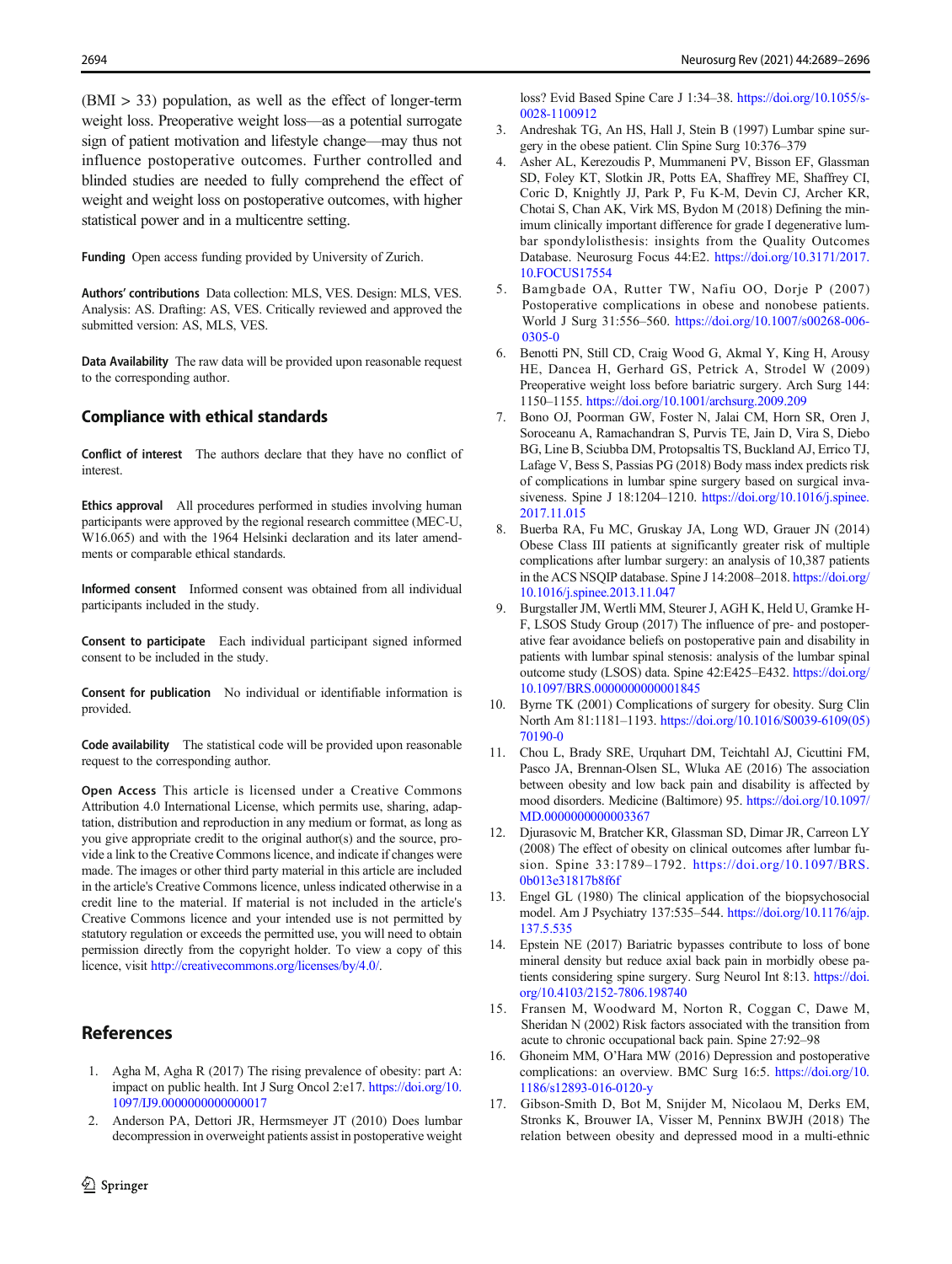<span id="page-5-0"></span>(BMI > 33) population, as well as the effect of longer-term weight loss. Preoperative weight loss—as a potential surrogate sign of patient motivation and lifestyle change—may thus not influence postoperative outcomes. Further controlled and blinded studies are needed to fully comprehend the effect of weight and weight loss on postoperative outcomes, with higher statistical power and in a multicentre setting.

Funding Open access funding provided by University of Zurich.

Authors' contributions Data collection: MLS, VES. Design: MLS, VES. Analysis: AS. Drafting: AS, VES. Critically reviewed and approved the submitted version: AS, MLS, VES.

Data Availability The raw data will be provided upon reasonable request to the corresponding author.

## Compliance with ethical standards

Conflict of interest The authors declare that they have no conflict of interest.

Ethics approval All procedures performed in studies involving human participants were approved by the regional research committee (MEC-U, W16.065) and with the 1964 Helsinki declaration and its later amendments or comparable ethical standards.

Informed consent Informed consent was obtained from all individual participants included in the study.

Consent to participate Each individual participant signed informed consent to be included in the study.

Consent for publication No individual or identifiable information is provided.

Code availability The statistical code will be provided upon reasonable request to the corresponding author.

Open Access This article is licensed under a Creative Commons Attribution 4.0 International License, which permits use, sharing, adaptation, distribution and reproduction in any medium or format, as long as you give appropriate credit to the original author(s) and the source, provide a link to the Creative Commons licence, and indicate if changes were made. The images or other third party material in this article are included in the article's Creative Commons licence, unless indicated otherwise in a credit line to the material. If material is not included in the article's Creative Commons licence and your intended use is not permitted by statutory regulation or exceeds the permitted use, you will need to obtain permission directly from the copyright holder. To view a copy of this licence, visit [http://creativecommons.org/licenses/by/4.0/](https://doi.org/).

# References

- 1. Agha M, Agha R (2017) The rising prevalence of obesity: part A: impact on public health. Int J Surg Oncol 2:e17. [https://doi.org/10.](https://doi.org/10.1097/IJ9.0000000000000017) [1097/IJ9.0000000000000017](https://doi.org/10.1097/IJ9.0000000000000017)
- 2. Anderson PA, Dettori JR, Hermsmeyer JT (2010) Does lumbar decompression in overweight patients assist in postoperative weight

loss? Evid Based Spine Care J 1:34–38. [https://doi.org/10.1055/s-](https://doi.org/10.1055/s-0028-1100912)[0028-1100912](https://doi.org/10.1055/s-0028-1100912)

- 3. Andreshak TG, An HS, Hall J, Stein B (1997) Lumbar spine surgery in the obese patient. Clin Spine Surg 10:376–379
- 4. Asher AL, Kerezoudis P, Mummaneni PV, Bisson EF, Glassman SD, Foley KT, Slotkin JR, Potts EA, Shaffrey ME, Shaffrey CI, Coric D, Knightly JJ, Park P, Fu K-M, Devin CJ, Archer KR, Chotai S, Chan AK, Virk MS, Bydon M (2018) Defining the minimum clinically important difference for grade I degenerative lumbar spondylolisthesis: insights from the Quality Outcomes Database. Neurosurg Focus 44:E2. [https://doi.org/10.3171/2017.](https://doi.org/10.3171/2017.10.FOCUS17554) [10.FOCUS17554](https://doi.org/10.3171/2017.10.FOCUS17554)
- 5. Bamgbade OA, Rutter TW, Nafiu OO, Dorje P (2007) Postoperative complications in obese and nonobese patients. World J Surg 31:556–560. [https://doi.org/10.1007/s00268-006-](https://doi.org/10.1007/s00268-006-0305-0) [0305-0](https://doi.org/10.1007/s00268-006-0305-0)
- 6. Benotti PN, Still CD, Craig Wood G, Akmal Y, King H, Arousy HE, Dancea H, Gerhard GS, Petrick A, Strodel W (2009) Preoperative weight loss before bariatric surgery. Arch Surg 144: 1150–1155. <https://doi.org/10.1001/archsurg.2009.209>
- 7. Bono OJ, Poorman GW, Foster N, Jalai CM, Horn SR, Oren J, Soroceanu A, Ramachandran S, Purvis TE, Jain D, Vira S, Diebo BG, Line B, Sciubba DM, Protopsaltis TS, Buckland AJ, Errico TJ, Lafage V, Bess S, Passias PG (2018) Body mass index predicts risk of complications in lumbar spine surgery based on surgical invasiveness. Spine J 18:1204–1210. [https://doi.org/10.1016/j.spinee.](https://doi.org/10.1016/j.spinee.2017.11.015) [2017.11.015](https://doi.org/10.1016/j.spinee.2017.11.015)
- 8. Buerba RA, Fu MC, Gruskay JA, Long WD, Grauer JN (2014) Obese Class III patients at significantly greater risk of multiple complications after lumbar surgery: an analysis of 10,387 patients in the ACS NSQIP database. Spine J 14:2008–2018. [https://doi.org/](https://doi.org/10.1016/j.spinee.2013.11.047) [10.1016/j.spinee.2013.11.047](https://doi.org/10.1016/j.spinee.2013.11.047)
- 9. Burgstaller JM, Wertli MM, Steurer J, AGH K, Held U, Gramke H-F, LSOS Study Group (2017) The influence of pre- and postoperative fear avoidance beliefs on postoperative pain and disability in patients with lumbar spinal stenosis: analysis of the lumbar spinal outcome study (LSOS) data. Spine 42:E425–E432. [https://doi.org/](https://doi.org/10.1097/BRS.0000000000001845) [10.1097/BRS.0000000000001845](https://doi.org/10.1097/BRS.0000000000001845)
- 10. Byrne TK (2001) Complications of surgery for obesity. Surg Clin North Am 81:1181–1193. [https://doi.org/10.1016/S0039-6109\(05\)](https://doi.org/10.1016/S0039-6109(05)70190-0) [70190-0](https://doi.org/10.1016/S0039-6109(05)70190-0)
- 11. Chou L, Brady SRE, Urquhart DM, Teichtahl AJ, Cicuttini FM, Pasco JA, Brennan-Olsen SL, Wluka AE (2016) The association between obesity and low back pain and disability is affected by mood disorders. Medicine (Baltimore) 95. [https://doi.org/10.1097/](https://doi.org/10.1097/MD.0000000000003367) [MD.0000000000003367](https://doi.org/10.1097/MD.0000000000003367)
- 12. Djurasovic M, Bratcher KR, Glassman SD, Dimar JR, Carreon LY (2008) The effect of obesity on clinical outcomes after lumbar fusion. Spine 33:1789–1792. [https://doi.org/10.1097/BRS.](https://doi.org/10.1097/BRS.0b013e31817b8f6f) [0b013e31817b8f6f](https://doi.org/10.1097/BRS.0b013e31817b8f6f)
- 13. Engel GL (1980) The clinical application of the biopsychosocial model. Am J Psychiatry 137:535–544. [https://doi.org/10.1176/ajp.](https://doi.org/10.1176/ajp.137.5.535) [137.5.535](https://doi.org/10.1176/ajp.137.5.535)
- 14. Epstein NE (2017) Bariatric bypasses contribute to loss of bone mineral density but reduce axial back pain in morbidly obese patients considering spine surgery. Surg Neurol Int 8:13. [https://doi.](https://doi.org/10.4103/2152-7806.198740) [org/10.4103/2152-7806.198740](https://doi.org/10.4103/2152-7806.198740)
- 15. Fransen M, Woodward M, Norton R, Coggan C, Dawe M, Sheridan N (2002) Risk factors associated with the transition from acute to chronic occupational back pain. Spine 27:92–98
- 16. Ghoneim MM, O'Hara MW (2016) Depression and postoperative complications: an overview. BMC Surg 16:5. [https://doi.org/10.](https://doi.org/10.1186/s12893-016-0120-y) [1186/s12893-016-0120-y](https://doi.org/10.1186/s12893-016-0120-y)
- 17. Gibson-Smith D, Bot M, Snijder M, Nicolaou M, Derks EM, Stronks K, Brouwer IA, Visser M, Penninx BWJH (2018) The relation between obesity and depressed mood in a multi-ethnic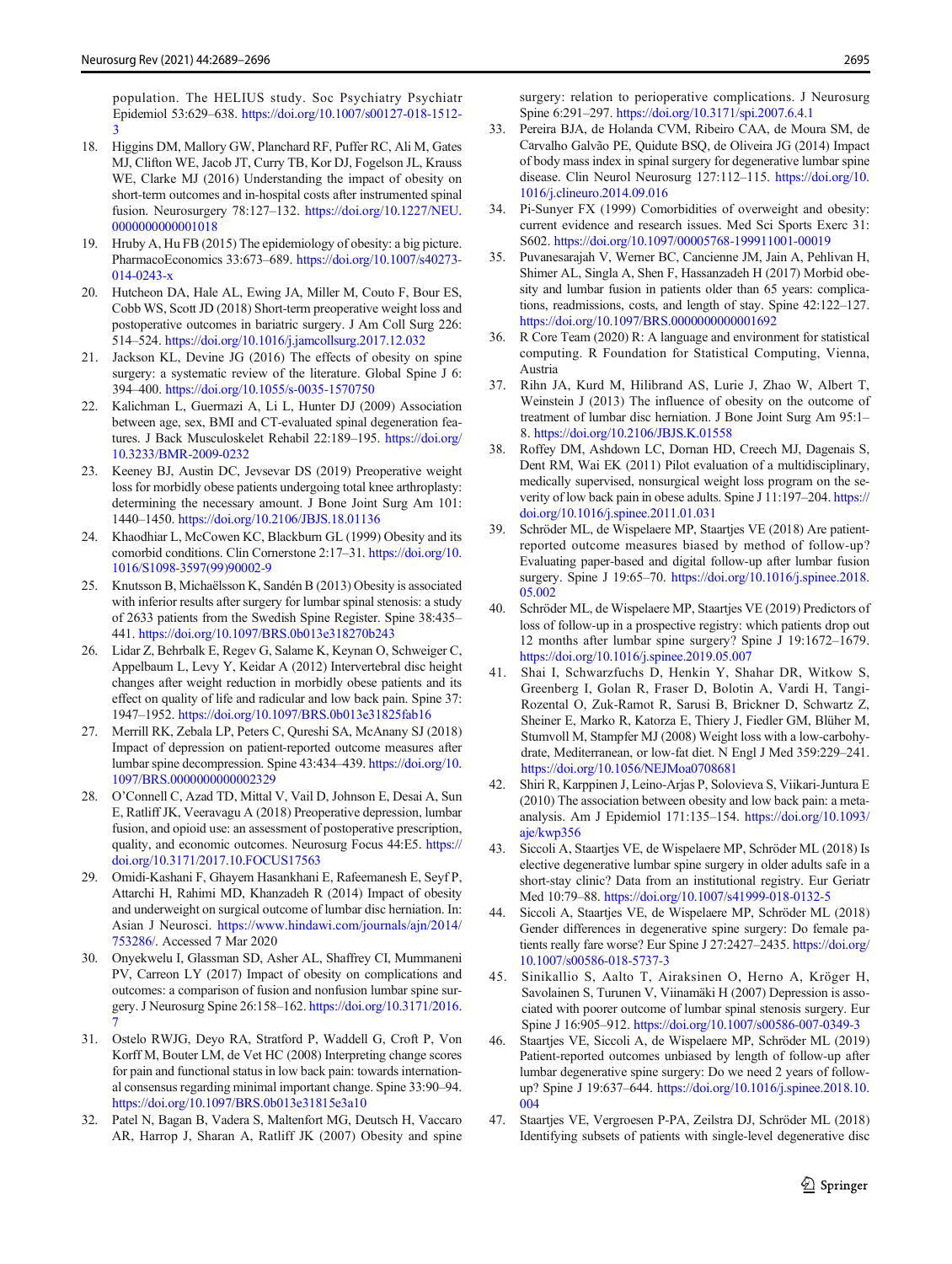<span id="page-6-0"></span>population. The HELIUS study. Soc Psychiatry Psychiatr Epidemiol 53:629–638. [https://doi.org/10.1007/s00127-018-1512-](https://doi.org/10.1007/s00127-018-1512-3) [3](https://doi.org/10.1007/s00127-018-1512-3)

- 18. Higgins DM, Mallory GW, Planchard RF, Puffer RC, Ali M, Gates MJ, Clifton WE, Jacob JT, Curry TB, Kor DJ, Fogelson JL, Krauss WE, Clarke MJ (2016) Understanding the impact of obesity on short-term outcomes and in-hospital costs after instrumented spinal fusion. Neurosurgery 78:127–132. [https://doi.org/10.1227/NEU.](https://doi.org/10.1227/NEU.0000000000001018) [0000000000001018](https://doi.org/10.1227/NEU.0000000000001018)
- 19. Hruby A, Hu FB (2015) The epidemiology of obesity: a big picture. PharmacoEconomics 33:673–689. [https://doi.org/10.1007/s40273-](https://doi.org/10.1007/s40273-014-0243-x) [014-0243-x](https://doi.org/10.1007/s40273-014-0243-x)
- 20. Hutcheon DA, Hale AL, Ewing JA, Miller M, Couto F, Bour ES, Cobb WS, Scott JD (2018) Short-term preoperative weight loss and postoperative outcomes in bariatric surgery. J Am Coll Surg 226: 514–524. <https://doi.org/10.1016/j.jamcollsurg.2017.12.032>
- 21. Jackson KL, Devine JG (2016) The effects of obesity on spine surgery: a systematic review of the literature. Global Spine J 6: 394–400. <https://doi.org/10.1055/s-0035-1570750>
- 22. Kalichman L, Guermazi A, Li L, Hunter DJ (2009) Association between age, sex, BMI and CT-evaluated spinal degeneration features. J Back Musculoskelet Rehabil 22:189–195. [https://doi.org/](https://doi.org/10.3233/BMR-2009-0232) [10.3233/BMR-2009-0232](https://doi.org/10.3233/BMR-2009-0232)
- 23. Keeney BJ, Austin DC, Jevsevar DS (2019) Preoperative weight loss for morbidly obese patients undergoing total knee arthroplasty: determining the necessary amount. J Bone Joint Surg Am 101: 1440–1450. <https://doi.org/10.2106/JBJS.18.01136>
- 24. Khaodhiar L, McCowen KC, Blackburn GL (1999) Obesity and its comorbid conditions. Clin Cornerstone 2:17–31. [https://doi.org/10.](https://doi.org/10.1016/S1098-3597(99)90002-9) [1016/S1098-3597\(99\)90002-9](https://doi.org/10.1016/S1098-3597(99)90002-9)
- 25. Knutsson B, Michaëlsson K, Sandén B (2013) Obesity is associated with inferior results after surgery for lumbar spinal stenosis: a study of 2633 patients from the Swedish Spine Register. Spine 38:435– 441. <https://doi.org/10.1097/BRS.0b013e318270b243>
- 26. Lidar Z, Behrbalk E, Regev G, Salame K, Keynan O, Schweiger C, Appelbaum L, Levy Y, Keidar A (2012) Intervertebral disc height changes after weight reduction in morbidly obese patients and its effect on quality of life and radicular and low back pain. Spine 37: 1947–1952. <https://doi.org/10.1097/BRS.0b013e31825fab16>
- 27. Merrill RK, Zebala LP, Peters C, Qureshi SA, McAnany SJ (2018) Impact of depression on patient-reported outcome measures after lumbar spine decompression. Spine 43:434–439. [https://doi.org/10.](https://doi.org/10.1097/BRS.0000000000002329) [1097/BRS.0000000000002329](https://doi.org/10.1097/BRS.0000000000002329)
- 28. O'Connell C, Azad TD, Mittal V, Vail D, Johnson E, Desai A, Sun E, Ratliff JK, Veeravagu A (2018) Preoperative depression, lumbar fusion, and opioid use: an assessment of postoperative prescription, quality, and economic outcomes. Neurosurg Focus 44:E5. [https://](https://doi.org/10.3171/2017.10.FOCUS17563) [doi.org/10.3171/2017.10.FOCUS17563](https://doi.org/10.3171/2017.10.FOCUS17563)
- 29. Omidi-Kashani F, Ghayem Hasankhani E, Rafeemanesh E, Seyf P, Attarchi H, Rahimi MD, Khanzadeh R (2014) Impact of obesity and underweight on surgical outcome of lumbar disc herniation. In: Asian J Neurosci. [https://www.hindawi.com/journals/ajn/2014/](https://www.hindawi.com/journals/ajn/2014/753286/) [753286/](https://www.hindawi.com/journals/ajn/2014/753286/). Accessed 7 Mar 2020
- 30. Onyekwelu I, Glassman SD, Asher AL, Shaffrey CI, Mummaneni PV, Carreon LY (2017) Impact of obesity on complications and outcomes: a comparison of fusion and nonfusion lumbar spine surgery. J Neurosurg Spine 26:158–162. [https://doi.org/10.3171/2016.](https://doi.org/10.3171/2016.7) [7](https://doi.org/10.3171/2016.7)
- 31. Ostelo RWJG, Deyo RA, Stratford P, Waddell G, Croft P, Von Korff M, Bouter LM, de Vet HC (2008) Interpreting change scores for pain and functional status in low back pain: towards international consensus regarding minimal important change. Spine 33:90–94. <https://doi.org/10.1097/BRS.0b013e31815e3a10>
- 32. Patel N, Bagan B, Vadera S, Maltenfort MG, Deutsch H, Vaccaro AR, Harrop J, Sharan A, Ratliff JK (2007) Obesity and spine

surgery: relation to perioperative complications. J Neurosurg Spine 6:291–297. <https://doi.org/10.3171/spi.2007.6.4.1>

- 33. Pereira BJA, de Holanda CVM, Ribeiro CAA, de Moura SM, de Carvalho Galvão PE, Quidute BSQ, de Oliveira JG (2014) Impact of body mass index in spinal surgery for degenerative lumbar spine disease. Clin Neurol Neurosurg 127:112–115. [https://doi.org/10.](https://doi.org/10.1016/j.clineuro.2014.09.016) [1016/j.clineuro.2014.09.016](https://doi.org/10.1016/j.clineuro.2014.09.016)
- 34. Pi-Sunyer FX (1999) Comorbidities of overweight and obesity: current evidence and research issues. Med Sci Sports Exerc 31: S602. <https://doi.org/10.1097/00005768-199911001-00019>
- 35. Puvanesarajah V, Werner BC, Cancienne JM, Jain A, Pehlivan H, Shimer AL, Singla A, Shen F, Hassanzadeh H (2017) Morbid obesity and lumbar fusion in patients older than 65 years: complications, readmissions, costs, and length of stay. Spine 42:122–127. <https://doi.org/10.1097/BRS.0000000000001692>
- 36. R Core Team (2020) R: A language and environment for statistical computing. R Foundation for Statistical Computing, Vienna, Austria
- 37. Rihn JA, Kurd M, Hilibrand AS, Lurie J, Zhao W, Albert T, Weinstein J (2013) The influence of obesity on the outcome of treatment of lumbar disc herniation. J Bone Joint Surg Am 95:1– 8. <https://doi.org/10.2106/JBJS.K.01558>
- 38. Roffey DM, Ashdown LC, Dornan HD, Creech MJ, Dagenais S, Dent RM, Wai EK (2011) Pilot evaluation of a multidisciplinary, medically supervised, nonsurgical weight loss program on the severity of low back pain in obese adults. Spine J 11:197-204. [https://](https://doi.org/10.1016/j.spinee.2011.01.031) [doi.org/10.1016/j.spinee.2011.01.031](https://doi.org/10.1016/j.spinee.2011.01.031)
- Schröder ML, de Wispelaere MP, Staartjes VE (2018) Are patientreported outcome measures biased by method of follow-up? Evaluating paper-based and digital follow-up after lumbar fusion surgery. Spine J 19:65–70. [https://doi.org/10.1016/j.spinee.2018.](https://doi.org/10.1016/j.spinee.2018.05.002) [05.002](https://doi.org/10.1016/j.spinee.2018.05.002)
- 40. Schröder ML, de Wispelaere MP, Staartjes VE (2019) Predictors of loss of follow-up in a prospective registry: which patients drop out 12 months after lumbar spine surgery? Spine J 19:1672–1679. <https://doi.org/10.1016/j.spinee.2019.05.007>
- 41. Shai I, Schwarzfuchs D, Henkin Y, Shahar DR, Witkow S, Greenberg I, Golan R, Fraser D, Bolotin A, Vardi H, Tangi-Rozental O, Zuk-Ramot R, Sarusi B, Brickner D, Schwartz Z, Sheiner E, Marko R, Katorza E, Thiery J, Fiedler GM, Blüher M, Stumvoll M, Stampfer MJ (2008) Weight loss with a low-carbohydrate, Mediterranean, or low-fat diet. N Engl J Med 359:229–241. <https://doi.org/10.1056/NEJMoa0708681>
- 42. Shiri R, Karppinen J, Leino-Arjas P, Solovieva S, Viikari-Juntura E (2010) The association between obesity and low back pain: a metaanalysis. Am J Epidemiol 171:135–154. [https://doi.org/10.1093/](https://doi.org/10.1093/aje/kwp356) [aje/kwp356](https://doi.org/10.1093/aje/kwp356)
- 43. Siccoli A, Staartjes VE, de Wispelaere MP, Schröder ML (2018) Is elective degenerative lumbar spine surgery in older adults safe in a short-stay clinic? Data from an institutional registry. Eur Geriatr Med 10:79–88. <https://doi.org/10.1007/s41999-018-0132-5>
- 44. Siccoli A, Staartjes VE, de Wispelaere MP, Schröder ML (2018) Gender differences in degenerative spine surgery: Do female patients really fare worse? Eur Spine J 27:2427–2435. [https://doi.org/](https://doi.org/10.1007/s00586-018-5737-3) [10.1007/s00586-018-5737-3](https://doi.org/10.1007/s00586-018-5737-3)
- 45. Sinikallio S, Aalto T, Airaksinen O, Herno A, Kröger H, Savolainen S, Turunen V, Viinamäki H (2007) Depression is associated with poorer outcome of lumbar spinal stenosis surgery. Eur Spine J 16:905–912. <https://doi.org/10.1007/s00586-007-0349-3>
- 46. Staartjes VE, Siccoli A, de Wispelaere MP, Schröder ML (2019) Patient-reported outcomes unbiased by length of follow-up after lumbar degenerative spine surgery: Do we need 2 years of followup? Spine J 19:637–644. [https://doi.org/10.1016/j.spinee.2018.10.](https://doi.org/10.1016/j.spinee.2018.10.004) [004](https://doi.org/10.1016/j.spinee.2018.10.004)
- 47. Staartjes VE, Vergroesen P-PA, Zeilstra DJ, Schröder ML (2018) Identifying subsets of patients with single-level degenerative disc